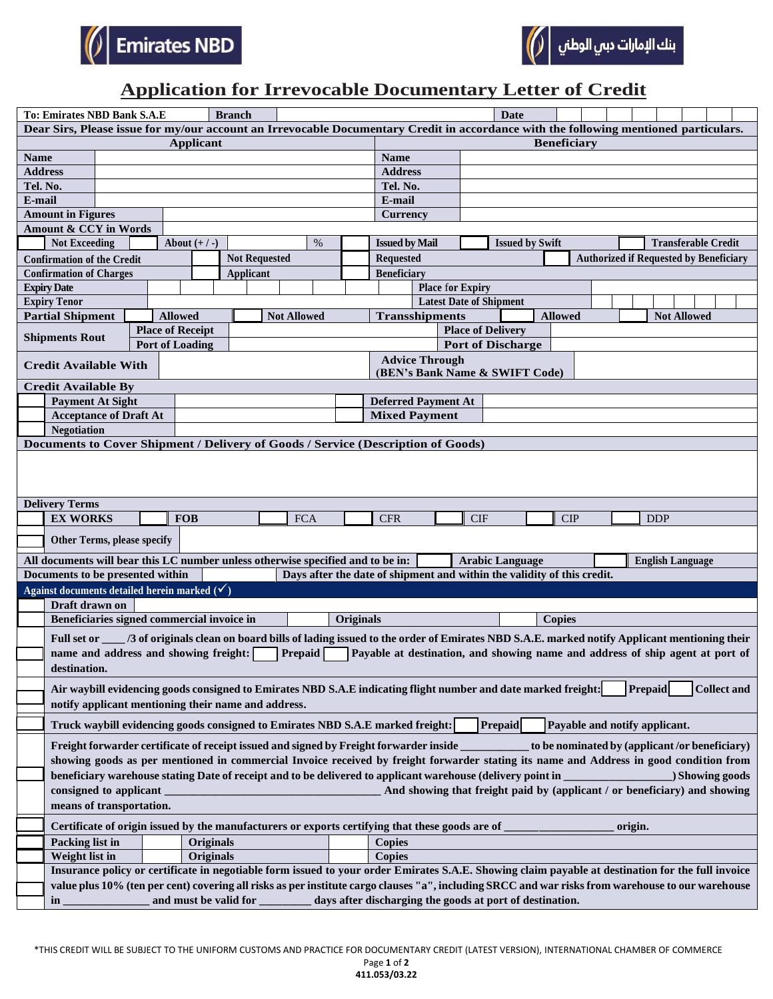



## **Application for Irrevocable Documentary Letter of Credit**

| <b>Branch</b><br><b>To: Emirates NBD Bank S.A.E</b>                                                                                               |                                                                                                                                                                        |                  |                                                   |                      |  |                                                                                                                                      |                                                 |                                                      |                    | <b>Date</b>                    |                                                                                                                                    |  |                                               |                                                                           |  |     |  |  |                         |  |                                                                               |
|---------------------------------------------------------------------------------------------------------------------------------------------------|------------------------------------------------------------------------------------------------------------------------------------------------------------------------|------------------|---------------------------------------------------|----------------------|--|--------------------------------------------------------------------------------------------------------------------------------------|-------------------------------------------------|------------------------------------------------------|--------------------|--------------------------------|------------------------------------------------------------------------------------------------------------------------------------|--|-----------------------------------------------|---------------------------------------------------------------------------|--|-----|--|--|-------------------------|--|-------------------------------------------------------------------------------|
|                                                                                                                                                   |                                                                                                                                                                        |                  |                                                   |                      |  | Dear Sirs, Please issue for my/our account an Irrevocable Documentary Credit in accordance with the following mentioned particulars. |                                                 |                                                      |                    |                                |                                                                                                                                    |  |                                               |                                                                           |  |     |  |  |                         |  |                                                                               |
| <b>Name</b>                                                                                                                                       | <b>Applicant</b>                                                                                                                                                       |                  |                                                   |                      |  |                                                                                                                                      |                                                 |                                                      | <b>Beneficiary</b> |                                |                                                                                                                                    |  |                                               |                                                                           |  |     |  |  |                         |  |                                                                               |
| <b>Address</b>                                                                                                                                    |                                                                                                                                                                        |                  |                                                   |                      |  |                                                                                                                                      | <b>Name</b><br><b>Address</b>                   |                                                      |                    |                                |                                                                                                                                    |  |                                               |                                                                           |  |     |  |  |                         |  |                                                                               |
| Tel. No.                                                                                                                                          |                                                                                                                                                                        |                  |                                                   |                      |  |                                                                                                                                      | Tel. No.                                        |                                                      |                    |                                |                                                                                                                                    |  |                                               |                                                                           |  |     |  |  |                         |  |                                                                               |
| E-mail                                                                                                                                            |                                                                                                                                                                        |                  |                                                   |                      |  | E-mail                                                                                                                               |                                                 |                                                      |                    |                                |                                                                                                                                    |  |                                               |                                                                           |  |     |  |  |                         |  |                                                                               |
| <b>Amount in Figures</b>                                                                                                                          |                                                                                                                                                                        |                  |                                                   |                      |  |                                                                                                                                      |                                                 |                                                      |                    | <b>Currency</b>                |                                                                                                                                    |  |                                               |                                                                           |  |     |  |  |                         |  |                                                                               |
| Amount & CCY in Words                                                                                                                             |                                                                                                                                                                        |                  |                                                   |                      |  |                                                                                                                                      |                                                 |                                                      |                    |                                |                                                                                                                                    |  |                                               |                                                                           |  |     |  |  |                         |  |                                                                               |
| $\%$<br><b>Not Exceeding</b><br>About $(+/-)$                                                                                                     |                                                                                                                                                                        |                  |                                                   |                      |  |                                                                                                                                      | <b>Issued by Mail</b><br><b>Issued by Swift</b> |                                                      |                    |                                |                                                                                                                                    |  | <b>Transferable Credit</b>                    |                                                                           |  |     |  |  |                         |  |                                                                               |
| <b>Confirmation of the Credit</b>                                                                                                                 |                                                                                                                                                                        |                  |                                                   | <b>Not Requested</b> |  |                                                                                                                                      |                                                 |                                                      |                    | <b>Requested</b>               |                                                                                                                                    |  | <b>Authorized if Requested by Beneficiary</b> |                                                                           |  |     |  |  |                         |  |                                                                               |
| <b>Confirmation of Charges</b>                                                                                                                    |                                                                                                                                                                        | <b>Applicant</b> |                                                   |                      |  |                                                                                                                                      |                                                 | <b>Beneficiary</b>                                   |                    |                                |                                                                                                                                    |  |                                               |                                                                           |  |     |  |  |                         |  |                                                                               |
| <b>Expiry Date</b>                                                                                                                                |                                                                                                                                                                        |                  |                                                   |                      |  |                                                                                                                                      |                                                 |                                                      |                    |                                | <b>Place for Expiry</b>                                                                                                            |  |                                               |                                                                           |  |     |  |  |                         |  |                                                                               |
| <b>Expiry Tenor</b>                                                                                                                               |                                                                                                                                                                        |                  |                                                   |                      |  |                                                                                                                                      |                                                 |                                                      |                    | <b>Latest Date of Shipment</b> |                                                                                                                                    |  |                                               |                                                                           |  |     |  |  |                         |  |                                                                               |
| <b>Partial Shipment</b>                                                                                                                           |                                                                                                                                                                        |                  | <b>Allowed</b>                                    |                      |  |                                                                                                                                      | <b>Not Allowed</b>                              |                                                      |                    | <b>Transshipments</b>          |                                                                                                                                    |  |                                               | <b>Not Allowed</b><br><b>Allowed</b>                                      |  |     |  |  |                         |  |                                                                               |
| <b>Shipments Rout</b>                                                                                                                             |                                                                                                                                                                        |                  | <b>Place of Receipt</b><br><b>Port of Loading</b> |                      |  |                                                                                                                                      |                                                 | <b>Place of Delivery</b><br><b>Port of Discharge</b> |                    |                                |                                                                                                                                    |  |                                               |                                                                           |  |     |  |  |                         |  |                                                                               |
|                                                                                                                                                   |                                                                                                                                                                        |                  |                                                   |                      |  |                                                                                                                                      |                                                 |                                                      |                    |                                |                                                                                                                                    |  |                                               |                                                                           |  |     |  |  |                         |  |                                                                               |
| <b>Advice Through</b><br><b>Credit Available With</b><br>(BEN's Bank Name & SWIFT Code)                                                           |                                                                                                                                                                        |                  |                                                   |                      |  |                                                                                                                                      |                                                 |                                                      |                    |                                |                                                                                                                                    |  |                                               |                                                                           |  |     |  |  |                         |  |                                                                               |
| <b>Credit Available By</b>                                                                                                                        |                                                                                                                                                                        |                  |                                                   |                      |  |                                                                                                                                      |                                                 |                                                      |                    |                                |                                                                                                                                    |  |                                               |                                                                           |  |     |  |  |                         |  |                                                                               |
|                                                                                                                                                   | <b>Payment At Sight</b>                                                                                                                                                |                  |                                                   |                      |  |                                                                                                                                      |                                                 |                                                      |                    |                                | <b>Deferred Payment At</b>                                                                                                         |  |                                               |                                                                           |  |     |  |  |                         |  |                                                                               |
|                                                                                                                                                   | <b>Acceptance of Draft At</b>                                                                                                                                          |                  |                                                   |                      |  |                                                                                                                                      |                                                 |                                                      |                    | <b>Mixed Payment</b>           |                                                                                                                                    |  |                                               |                                                                           |  |     |  |  |                         |  |                                                                               |
| <b>Negotiation</b><br>Documents to Cover Shipment / Delivery of Goods / Service (Description of Goods)                                            |                                                                                                                                                                        |                  |                                                   |                      |  |                                                                                                                                      |                                                 |                                                      |                    |                                |                                                                                                                                    |  |                                               |                                                                           |  |     |  |  |                         |  |                                                                               |
|                                                                                                                                                   |                                                                                                                                                                        |                  |                                                   |                      |  |                                                                                                                                      |                                                 |                                                      |                    |                                |                                                                                                                                    |  |                                               |                                                                           |  |     |  |  |                         |  |                                                                               |
|                                                                                                                                                   |                                                                                                                                                                        |                  |                                                   |                      |  |                                                                                                                                      |                                                 |                                                      |                    |                                |                                                                                                                                    |  |                                               |                                                                           |  |     |  |  |                         |  |                                                                               |
|                                                                                                                                                   |                                                                                                                                                                        |                  |                                                   |                      |  |                                                                                                                                      |                                                 |                                                      |                    |                                |                                                                                                                                    |  |                                               |                                                                           |  |     |  |  |                         |  |                                                                               |
| <b>Delivery Terms</b>                                                                                                                             |                                                                                                                                                                        |                  |                                                   |                      |  |                                                                                                                                      |                                                 |                                                      |                    |                                |                                                                                                                                    |  |                                               |                                                                           |  |     |  |  |                         |  |                                                                               |
| <b>EX WORKS</b>                                                                                                                                   |                                                                                                                                                                        |                  | <b>FOB</b>                                        |                      |  |                                                                                                                                      | <b>FCA</b>                                      |                                                      |                    | <b>CFR</b>                     |                                                                                                                                    |  | <b>CIF</b>                                    |                                                                           |  | CIP |  |  | <b>DDP</b>              |  |                                                                               |
|                                                                                                                                                   | Other Terms, please specify                                                                                                                                            |                  |                                                   |                      |  |                                                                                                                                      |                                                 |                                                      |                    |                                |                                                                                                                                    |  |                                               |                                                                           |  |     |  |  |                         |  |                                                                               |
| All documents will bear this LC number unless otherwise specified and to be in:                                                                   |                                                                                                                                                                        |                  |                                                   |                      |  |                                                                                                                                      |                                                 |                                                      |                    |                                |                                                                                                                                    |  |                                               | <b>Arabic Language</b>                                                    |  |     |  |  | <b>English Language</b> |  |                                                                               |
| Documents to be presented within                                                                                                                  |                                                                                                                                                                        |                  |                                                   |                      |  |                                                                                                                                      |                                                 |                                                      |                    |                                |                                                                                                                                    |  |                                               | Days after the date of shipment and within the validity of this credit.   |  |     |  |  |                         |  |                                                                               |
| Against documents detailed herein marked $(v')$                                                                                                   |                                                                                                                                                                        |                  |                                                   |                      |  |                                                                                                                                      |                                                 |                                                      |                    |                                |                                                                                                                                    |  |                                               |                                                                           |  |     |  |  |                         |  |                                                                               |
|                                                                                                                                                   | Draft drawn on                                                                                                                                                         |                  |                                                   |                      |  |                                                                                                                                      |                                                 |                                                      |                    |                                |                                                                                                                                    |  |                                               |                                                                           |  |     |  |  |                         |  |                                                                               |
| Beneficiaries signed commercial invoice in<br>Originals                                                                                           |                                                                                                                                                                        |                  |                                                   |                      |  |                                                                                                                                      | <b>Copies</b>                                   |                                                      |                    |                                |                                                                                                                                    |  |                                               |                                                                           |  |     |  |  |                         |  |                                                                               |
| <b>Full set or</b>                                                                                                                                |                                                                                                                                                                        |                  |                                                   |                      |  |                                                                                                                                      |                                                 |                                                      |                    |                                | /3 of originals clean on board bills of lading issued to the order of Emirates NBD S.A.E. marked notify Applicant mentioning their |  |                                               |                                                                           |  |     |  |  |                         |  |                                                                               |
|                                                                                                                                                   | name and address and showing freight:                                                                                                                                  |                  |                                                   |                      |  |                                                                                                                                      | Prepaid                                         |                                                      |                    |                                |                                                                                                                                    |  |                                               |                                                                           |  |     |  |  |                         |  | Payable at destination, and showing name and address of ship agent at port of |
| destination.                                                                                                                                      |                                                                                                                                                                        |                  |                                                   |                      |  |                                                                                                                                      |                                                 |                                                      |                    |                                |                                                                                                                                    |  |                                               |                                                                           |  |     |  |  |                         |  |                                                                               |
|                                                                                                                                                   |                                                                                                                                                                        |                  |                                                   |                      |  |                                                                                                                                      |                                                 |                                                      |                    |                                |                                                                                                                                    |  |                                               |                                                                           |  |     |  |  |                         |  |                                                                               |
|                                                                                                                                                   | Air waybill evidencing goods consigned to Emirates NBD S.A.E indicating flight number and date marked freight:                                                         |                  |                                                   |                      |  |                                                                                                                                      |                                                 |                                                      |                    |                                |                                                                                                                                    |  |                                               |                                                                           |  |     |  |  | Prepaid                 |  | <b>Collect and</b>                                                            |
|                                                                                                                                                   | notify applicant mentioning their name and address.<br>Truck waybill evidencing goods consigned to Emirates NBD S.A.E marked freight:<br>Payable and notify applicant. |                  |                                                   |                      |  |                                                                                                                                      |                                                 |                                                      |                    |                                |                                                                                                                                    |  |                                               |                                                                           |  |     |  |  |                         |  |                                                                               |
|                                                                                                                                                   |                                                                                                                                                                        |                  |                                                   |                      |  |                                                                                                                                      |                                                 |                                                      |                    |                                |                                                                                                                                    |  |                                               | <b>Prepaid</b>                                                            |  |     |  |  |                         |  |                                                                               |
|                                                                                                                                                   | Freight forwarder certificate of receipt issued and signed by Freight forwarder inside                                                                                 |                  |                                                   |                      |  |                                                                                                                                      |                                                 |                                                      |                    |                                |                                                                                                                                    |  |                                               |                                                                           |  |     |  |  |                         |  | to be nominated by (applicant /or beneficiary)                                |
|                                                                                                                                                   | showing goods as per mentioned in commercial Invoice received by freight forwarder stating its name and Address in good condition from                                 |                  |                                                   |                      |  |                                                                                                                                      |                                                 |                                                      |                    |                                |                                                                                                                                    |  |                                               |                                                                           |  |     |  |  |                         |  |                                                                               |
|                                                                                                                                                   | beneficiary warehouse stating Date of receipt and to be delivered to applicant warehouse (delivery point in _                                                          |                  |                                                   |                      |  |                                                                                                                                      |                                                 |                                                      |                    |                                |                                                                                                                                    |  |                                               |                                                                           |  |     |  |  |                         |  | ) Showing goods                                                               |
|                                                                                                                                                   | consigned to applicant                                                                                                                                                 |                  |                                                   |                      |  |                                                                                                                                      |                                                 |                                                      |                    |                                |                                                                                                                                    |  |                                               | And showing that freight paid by (applicant / or beneficiary) and showing |  |     |  |  |                         |  |                                                                               |
| means of transportation.                                                                                                                          |                                                                                                                                                                        |                  |                                                   |                      |  |                                                                                                                                      |                                                 |                                                      |                    |                                |                                                                                                                                    |  |                                               |                                                                           |  |     |  |  |                         |  |                                                                               |
| Certificate of origin issued by the manufacturers or exports certifying that these goods are of<br>origin.                                        |                                                                                                                                                                        |                  |                                                   |                      |  |                                                                                                                                      |                                                 |                                                      |                    |                                |                                                                                                                                    |  |                                               |                                                                           |  |     |  |  |                         |  |                                                                               |
|                                                                                                                                                   | <b>Originals</b><br>Packing list in                                                                                                                                    |                  |                                                   |                      |  |                                                                                                                                      | <b>Copies</b>                                   |                                                      |                    |                                |                                                                                                                                    |  |                                               |                                                                           |  |     |  |  |                         |  |                                                                               |
| Weight list in<br><b>Originals</b>                                                                                                                |                                                                                                                                                                        |                  |                                                   |                      |  | <b>Copies</b>                                                                                                                        |                                                 |                                                      |                    |                                |                                                                                                                                    |  |                                               |                                                                           |  |     |  |  |                         |  |                                                                               |
|                                                                                                                                                   | Insurance policy or certificate in negotiable form issued to your order Emirates S.A.E. Showing claim payable at destination for the full invoice                      |                  |                                                   |                      |  |                                                                                                                                      |                                                 |                                                      |                    |                                |                                                                                                                                    |  |                                               |                                                                           |  |     |  |  |                         |  |                                                                               |
| value plus 10% (ten per cent) covering all risks as per institute cargo clauses "a", including SRCC and war risks from warehouse to our warehouse |                                                                                                                                                                        |                  |                                                   |                      |  |                                                                                                                                      |                                                 |                                                      |                    |                                |                                                                                                                                    |  |                                               |                                                                           |  |     |  |  |                         |  |                                                                               |
| days after discharging the goods at port of destination.<br>and must be valid for<br>in                                                           |                                                                                                                                                                        |                  |                                                   |                      |  |                                                                                                                                      |                                                 |                                                      |                    |                                |                                                                                                                                    |  |                                               |                                                                           |  |     |  |  |                         |  |                                                                               |
|                                                                                                                                                   |                                                                                                                                                                        |                  |                                                   |                      |  |                                                                                                                                      |                                                 |                                                      |                    |                                |                                                                                                                                    |  |                                               |                                                                           |  |     |  |  |                         |  |                                                                               |